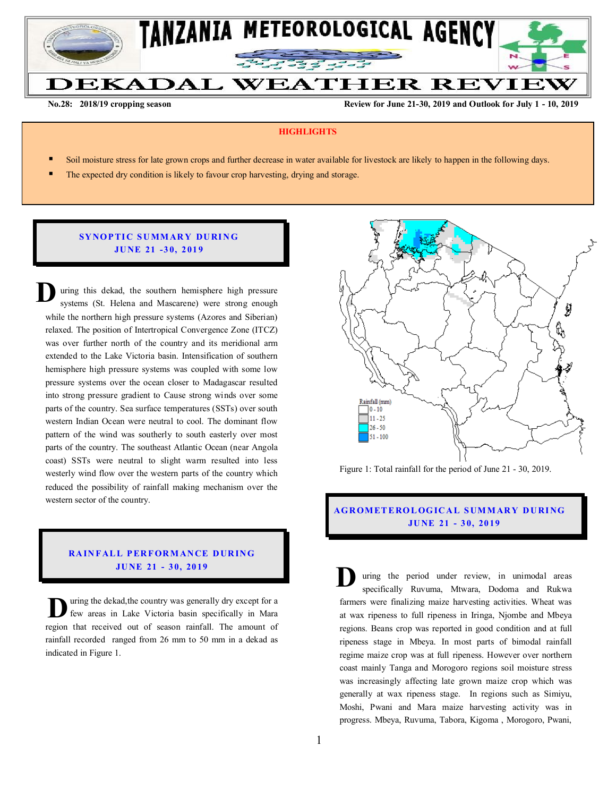

**No.28: 2018/19 cropping season Review for June 21-30, 2019 and Outlook for July 1 - 10, 2019** 

## **HIGHLIGHTS**

- Soil moisture stress for late grown crops and further decrease in water available for livestock are likely to happen in the following days.
- The expected dry condition is likely to favour crop harvesting, drying and storage.

## **SY NO P TI C S U MM AR Y DU RI N G JU NE 21 -3 0, 2 01 9**

uring this dekad, the southern hemisphere high pressure systems (St. Helena and Mascarene) were strong enough while the northern high pressure systems (Azores and Siberian) relaxed. The position of Intertropical Convergence Zone (ITCZ) was over further north of the country and its meridional arm extended to the Lake Victoria basin. Intensification of southern hemisphere high pressure systems was coupled with some low pressure systems over the ocean closer to Madagascar resulted into strong pressure gradient to Cause strong winds over some parts of the country. Sea surface temperatures (SSTs) over south western Indian Ocean were neutral to cool. The dominant flow pattern of the wind was southerly to south easterly over most parts of the country. The southeast Atlantic Ocean (near Angola coast) SSTs were neutral to slight warm resulted into less westerly wind flow over the western parts of the country which reduced the possibility of rainfall making mechanism over the western sector of the country. **D**

# **RAINFALL PERFORMANCE DURING JU NE 21 - 3 0, 20 19**

uring the dekad,the country was generally dry except for a few areas in Lake Victoria basin specifically in Mara **r** wing the dekad, the country was generally dry except for a few areas in Lake Victoria basin specifically in Mara region that received out of season rainfall. The amount of rainfall recorded ranged from 26 mm to 50 mm in a dekad as indicated in Figure 1.



Figure 1: Total rainfall for the period of June 21 - 30, 2019.

# **AG R OM ET E RO L OG IC A L S UM M AR Y D U RI NG JU NE 21 - 3 0, 20 19**

uring the period under review, in unimodal areas specifically Ruvuma, Mtwara, Dodoma and Rukwa farmers were finalizing maize harvesting activities. Wheat was at wax ripeness to full ripeness in Iringa, Njombe and Mbeya regions. Beans crop was reported in good condition and at full ripeness stage in Mbeya. In most parts of bimodal rainfall regime maize crop was at full ripeness. However over northern coast mainly Tanga and Morogoro regions soil moisture stress was increasingly affecting late grown maize crop which was generally at wax ripeness stage. In regions such as Simiyu, Moshi, Pwani and Mara maize harvesting activity was in progress. Mbeya, Ruvuma, Tabora, Kigoma , Morogoro, Pwani, **D**